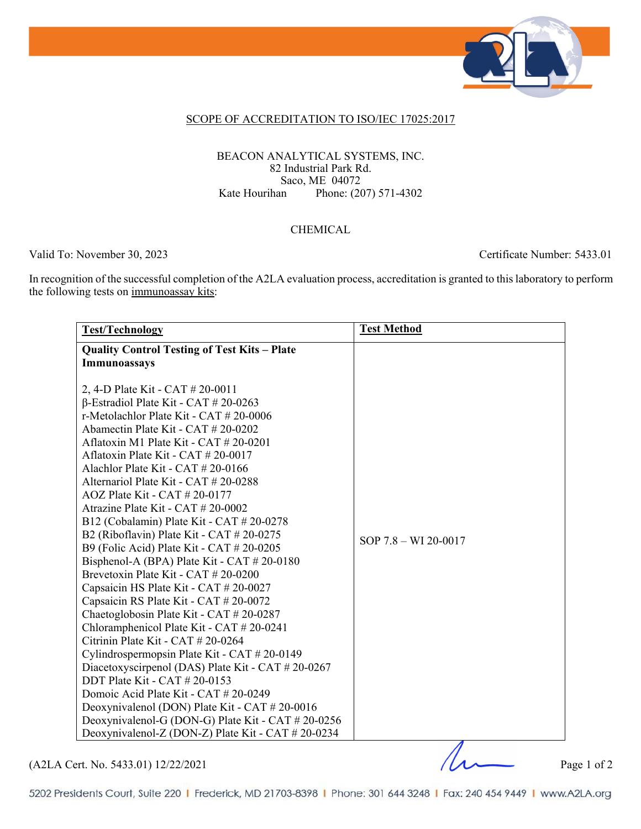

#### SCOPE OF ACCREDITATION TO ISO/IEC 17025:2017

#### BEACON ANALYTICAL SYSTEMS, INC. 82 Industrial Park Rd. Saco, ME 04072<br>Kate Hourihan Phone: (20 Phone: (207) 571-4302

### CHEMICAL

Valid To: November 30, 2023 Certificate Number: 5433.01

In recognition of the successful completion of the A2LA evaluation process, accreditation is granted to this laboratory to perform the following tests on immunoassay kits:

| <b>Test/Technology</b>                              | <b>Test Method</b>       |
|-----------------------------------------------------|--------------------------|
| <b>Quality Control Testing of Test Kits - Plate</b> |                          |
| Immunoassays                                        |                          |
|                                                     |                          |
| 2, 4-D Plate Kit - CAT # 20-0011                    |                          |
| $\beta$ -Estradiol Plate Kit - CAT # 20-0263        |                          |
| r-Metolachlor Plate Kit - CAT # 20-0006             |                          |
| Abamectin Plate Kit - CAT # 20-0202                 |                          |
| Aflatoxin M1 Plate Kit - CAT # 20-0201              |                          |
| Aflatoxin Plate Kit - CAT $\#$ 20-0017              |                          |
| Alachlor Plate Kit - CAT $\#$ 20-0166               |                          |
| Alternariol Plate Kit - CAT # 20-0288               |                          |
| $AOZ$ Plate Kit - CAT $\#$ 20-0177                  |                          |
| Atrazine Plate Kit - CAT # 20-0002                  |                          |
| B12 (Cobalamin) Plate Kit - CAT # 20-0278           |                          |
| B2 (Riboflavin) Plate Kit - CAT $# 20-0275$         | SOP $7.8 - W1 20 - 0017$ |
| B9 (Folic Acid) Plate Kit - CAT # 20-0205           |                          |
| Bisphenol-A (BPA) Plate Kit - CAT # 20-0180         |                          |
| Brevetoxin Plate Kit - CAT # 20-0200                |                          |
| Capsaicin HS Plate Kit - CAT # 20-0027              |                          |
| Capsaicin RS Plate Kit - CAT # 20-0072              |                          |
| Chaetoglobosin Plate Kit - CAT # 20-0287            |                          |
| Chloramphenicol Plate Kit - CAT # 20-0241           |                          |
| Citrinin Plate Kit - CAT # 20-0264                  |                          |
| Cylindrospermopsin Plate Kit - CAT # 20-0149        |                          |
| Diacetoxyscirpenol (DAS) Plate Kit - CAT # 20-0267  |                          |
| DDT Plate Kit - CAT # 20-0153                       |                          |
| Domoic Acid Plate Kit - CAT # 20-0249               |                          |
| Deoxynivalenol (DON) Plate Kit - CAT # 20-0016      |                          |
| Deoxynivalenol-G (DON-G) Plate Kit - CAT # 20-0256  |                          |
| Deoxynivalenol-Z (DON-Z) Plate Kit - CAT # 20-0234  |                          |

 $(A2LA$  Cert. No. 5433.01) 12/22/2021 Page 1 of 2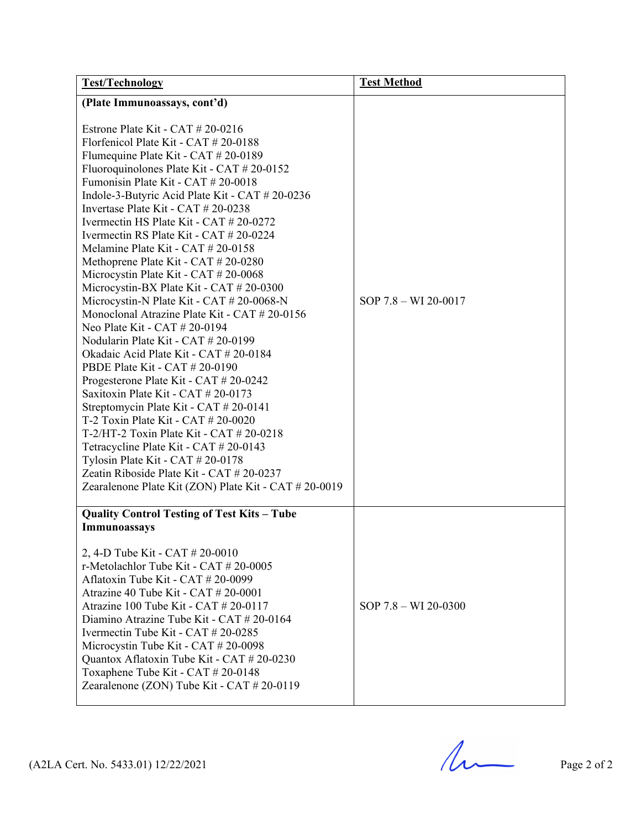| <b>Test/Technology</b>                                                                                                                                                                                                                                                                                                                                                                                                                                                                                                                                                                                                                                                                                                                                                                                                                                                                                                                                                                                                                                                                                                                                                                                                                                | <b>Test Method</b>       |
|-------------------------------------------------------------------------------------------------------------------------------------------------------------------------------------------------------------------------------------------------------------------------------------------------------------------------------------------------------------------------------------------------------------------------------------------------------------------------------------------------------------------------------------------------------------------------------------------------------------------------------------------------------------------------------------------------------------------------------------------------------------------------------------------------------------------------------------------------------------------------------------------------------------------------------------------------------------------------------------------------------------------------------------------------------------------------------------------------------------------------------------------------------------------------------------------------------------------------------------------------------|--------------------------|
| (Plate Immunoassays, cont'd)<br>Estrone Plate Kit - CAT $\#$ 20-0216<br>Florfenicol Plate Kit - CAT # 20-0188<br>Flumequine Plate Kit - CAT # 20-0189<br>Fluoroquinolones Plate Kit - CAT # 20-0152<br>Fumonisin Plate Kit - CAT # 20-0018<br>Indole-3-Butyric Acid Plate Kit - CAT # 20-0236<br>Invertase Plate Kit - CAT # 20-0238<br>Ivermectin HS Plate Kit - CAT # 20-0272<br>Ivermectin RS Plate Kit - CAT # 20-0224<br>Melamine Plate Kit - CAT # 20-0158<br>Methoprene Plate Kit - CAT # 20-0280<br>Microcystin Plate Kit - CAT # 20-0068<br>Microcystin-BX Plate Kit - CAT # 20-0300<br>Microcystin-N Plate Kit - CAT # 20-0068-N<br>Monoclonal Atrazine Plate Kit - CAT # 20-0156<br>Neo Plate Kit - CAT # 20-0194<br>Nodularin Plate Kit - CAT # 20-0199<br>Okadaic Acid Plate Kit - CAT # 20-0184<br>PBDE Plate Kit - CAT # 20-0190<br>Progesterone Plate Kit - CAT # 20-0242<br>Saxitoxin Plate Kit - CAT # 20-0173<br>Streptomycin Plate Kit - CAT # 20-0141<br>T-2 Toxin Plate Kit - CAT # 20-0020<br>T-2/HT-2 Toxin Plate Kit - CAT $\#$ 20-0218<br>Tetracycline Plate Kit - CAT # 20-0143<br>Tylosin Plate Kit - CAT # 20-0178<br>Zeatin Riboside Plate Kit - CAT # 20-0237<br>Zearalenone Plate Kit (ZON) Plate Kit - CAT # 20-0019 | SOP $7.8 - W1 20 - 0017$ |
| <b>Quality Control Testing of Test Kits - Tube</b><br>Immunoassays<br>2, 4-D Tube Kit - CAT # 20-0010<br>r-Metolachlor Tube Kit - CAT $# 20-0005$<br>Aflatoxin Tube Kit - CAT # 20-0099<br>Atrazine 40 Tube Kit - CAT $\#$ 20-0001<br>Atrazine 100 Tube Kit - CAT $\#$ 20-0117<br>Diamino Atrazine Tube Kit - CAT # 20-0164<br>Ivermectin Tube Kit - CAT # 20-0285<br>Microcystin Tube Kit - CAT # 20-0098<br>Quantox Aflatoxin Tube Kit - CAT # 20-0230<br>Toxaphene Tube Kit - CAT # 20-0148<br>Zearalenone (ZON) Tube Kit - CAT # 20-0119                                                                                                                                                                                                                                                                                                                                                                                                                                                                                                                                                                                                                                                                                                          | $SOP$ 7.8 – WI 20-0300   |

 $(A2LA$  Cert. No. 5433.01) 12/22/2021 Page 2 of 2